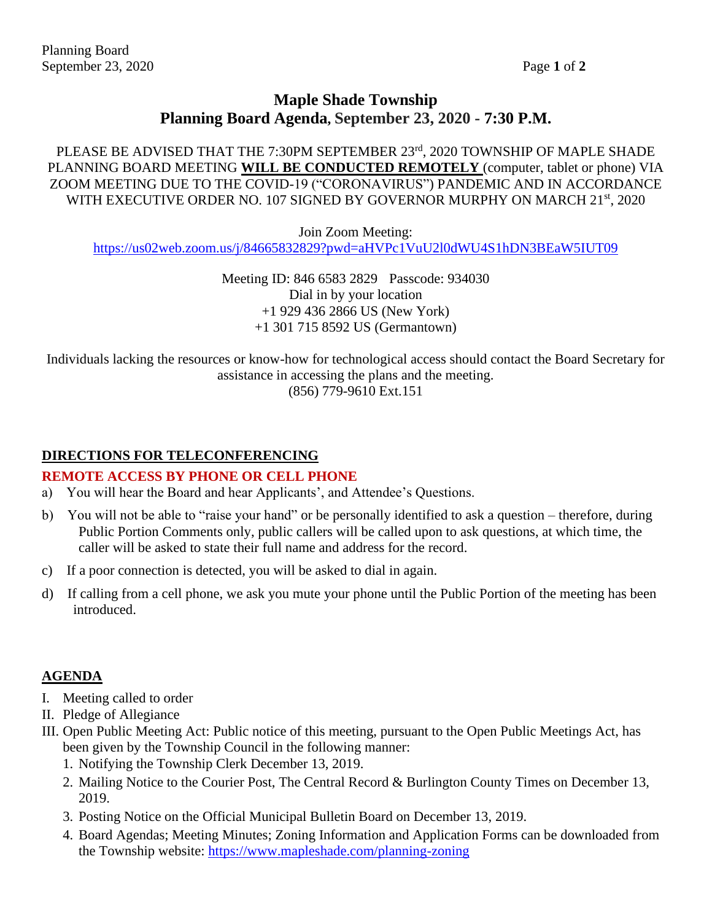# **Maple Shade Township Planning Board Agenda, September 23, 2020 - 7:30 P.M.**

PLEASE BE ADVISED THAT THE 7:30PM SEPTEMBER 23rd, 2020 TOWNSHIP OF MAPLE SHADE PLANNING BOARD MEETING **WILL BE CONDUCTED REMOTELY** (computer, tablet or phone) VIA ZOOM MEETING DUE TO THE COVID-19 ("CORONAVIRUS") PANDEMIC AND IN ACCORDANCE WITH EXECUTIVE ORDER NO. 107 SIGNED BY GOVERNOR MURPHY ON MARCH 21<sup>st</sup>, 2020

Join Zoom Meeting: <https://us02web.zoom.us/j/84665832829?pwd=aHVPc1VuU2l0dWU4S1hDN3BEaW5IUT09>

> Meeting ID: 846 6583 2829 Passcode: 934030 Dial in by your location +1 929 436 2866 US (New York) +1 301 715 8592 US (Germantown)

Individuals lacking the resources or know-how for technological access should contact the Board Secretary for assistance in accessing the plans and the meeting. (856) 779-9610 Ext.151

### **DIRECTIONS FOR TELECONFERENCING**

#### **REMOTE ACCESS BY PHONE OR CELL PHONE**

- a) You will hear the Board and hear Applicants', and Attendee's Questions.
- b) You will not be able to "raise your hand" or be personally identified to ask a question therefore, during Public Portion Comments only, public callers will be called upon to ask questions, at which time, the caller will be asked to state their full name and address for the record.
- c) If a poor connection is detected, you will be asked to dial in again.
- d) If calling from a cell phone, we ask you mute your phone until the Public Portion of the meeting has been introduced.

#### **AGENDA**

- I. Meeting called to order
- II. Pledge of Allegiance
- III. Open Public Meeting Act: Public notice of this meeting, pursuant to the Open Public Meetings Act, has been given by the Township Council in the following manner:
	- 1. Notifying the Township Clerk December 13, 2019.
	- 2. Mailing Notice to the Courier Post, The Central Record & Burlington County Times on December 13, 2019.
	- 3. Posting Notice on the Official Municipal Bulletin Board on December 13, 2019.
	- 4. Board Agendas; Meeting Minutes; Zoning Information and Application Forms can be downloaded from the Township website:<https://www.mapleshade.com/planning-zoning>